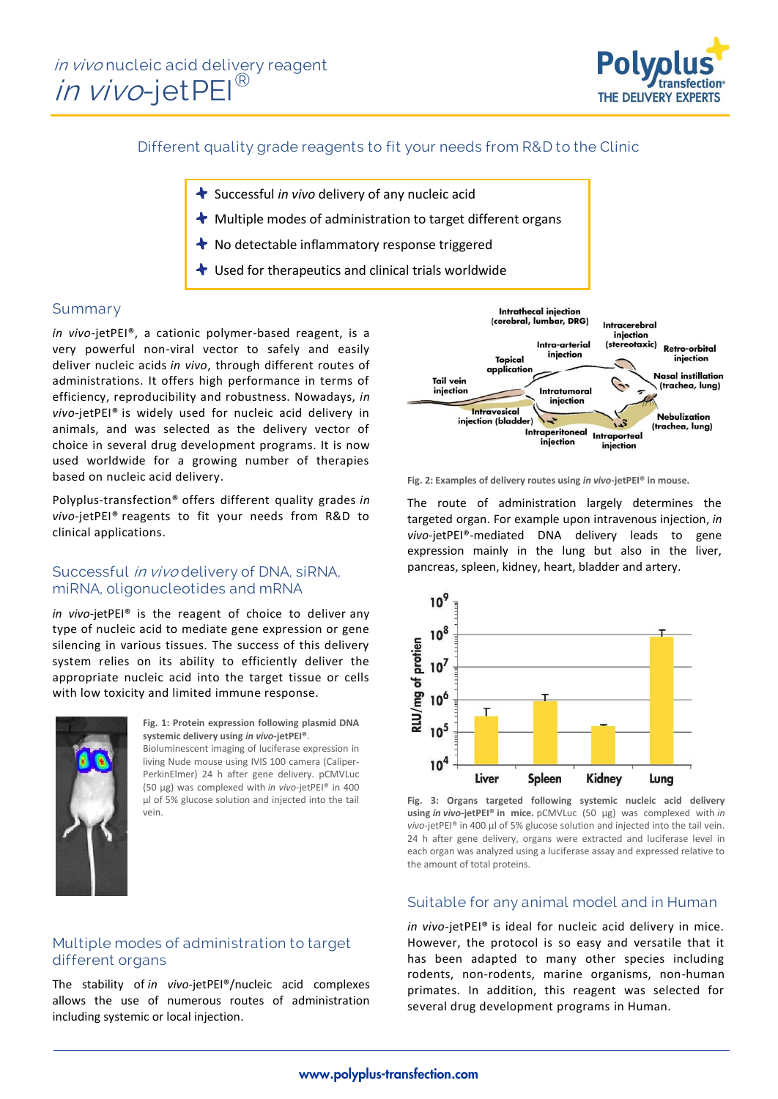in vivo nucleic acid delivery reagent in vivo-jetPEI®



# Different quality grade reagents to fit your needs from R&D to the Clinic

- Successful *in vivo* delivery of any nucleic acid
- $\blacktriangleright$  Multiple modes of administration to target different organs
- $\bigstar$  No detectable inflammatory response triggered
- $\bigstar$  Used for therapeutics and clinical trials worldwide

## Summary

*in vivo*-jetPEI®, a cationic polymer-based reagent, is a very powerful non-viral vector to safely and easily deliver nucleic acids *in vivo*, through different routes of administrations. It offers high performance in terms of efficiency, reproducibility and robustness. Nowadays, *in vivo*-jetPEI® is widely used for nucleic acid delivery in animals, and was selected as the delivery vector of choice in several drug development programs. It is now used worldwide for a growing number of therapies based on nucleic acid delivery.

Polyplus-transfection® offers different quality grades *in vivo*-jetPEI® reagents to fit your needs from R&D to clinical applications.

#### Successful in vivo delivery of DNA, siRNA, miRNA, oligonucleotides and mRNA

*in vivo*-jetPEI® is the reagent of choice to deliver any type of nucleic acid to mediate gene expression or gene silencing in various tissues. The success of this delivery system relies on its ability to efficiently deliver the appropriate nucleic acid into the target tissue or cells with low toxicity and limited immune response.



**Fig. 1: Protein expression following plasmid DNA systemic delivery using** *in vivo***-jetPEI®**. Bioluminescent imaging of luciferase expression in

living Nude mouse using IVIS 100 camera (Caliper-PerkinElmer) 24 h after gene delivery. pCMVLuc (50 µg) was complexed with *in vivo*-jetPEI® in 400 µl of 5% glucose solution and injected into the tail vein.

# Multiple modes of administration to target different organs

The stability of *in vivo*-jetPEI®/nucleic acid complexes allows the use of numerous routes of administration including systemic or local injection.



**Fig. 2: Examples of delivery routes using** *in vivo***-jetPEI® in mouse.**

The route of administration largely determines the targeted organ. For example upon intravenous injection, *in vivo*-jetPEI®-mediated DNA delivery leads to gene expression mainly in the lung but also in the liver, pancreas, spleen, kidney, heart, bladder and artery.



**Fig. 3: Organs targeted following systemic nucleic acid delivery using** *in vivo***-jetPEI® in mice.** pCMVLuc (50 µg) was complexed with *in vivo*-jetPEI® in 400 µl of 5% glucose solution and injected into the tail vein. 24 h after gene delivery, organs were extracted and luciferase level in each organ was analyzed using a luciferase assay and expressed relative to the amount of total proteins.

#### Suitable for any animal model and in Human

*in vivo*-jetPEI® is ideal for nucleic acid delivery in mice. However, the protocol is so easy and versatile that it has been adapted to many other species including rodents, non-rodents, marine organisms, non-human primates. In addition, this reagent was selected for several drug development programs in Human.